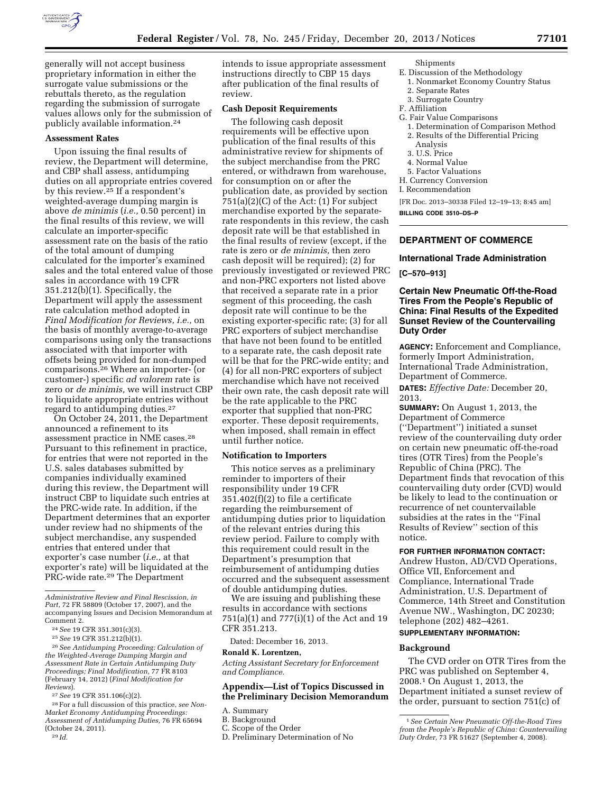

generally will not accept business proprietary information in either the surrogate value submissions or the rebuttals thereto, as the regulation regarding the submission of surrogate values allows only for the submission of publicly available information.24

### **Assessment Rates**

Upon issuing the final results of review, the Department will determine, and CBP shall assess, antidumping duties on all appropriate entries covered by this review.25 If a respondent's weighted-average dumping margin is above *de minimis* (*i.e.,* 0.50 percent) in the final results of this review, we will calculate an importer-specific assessment rate on the basis of the ratio of the total amount of dumping calculated for the importer's examined sales and the total entered value of those sales in accordance with 19 CFR 351.212(b)(1). Specifically, the Department will apply the assessment rate calculation method adopted in *Final Modification for Reviews, i.e.,* on the basis of monthly average-to-average comparisons using only the transactions associated with that importer with offsets being provided for non-dumped comparisons.26 Where an importer- (or customer-) specific *ad valorem* rate is zero or *de minimis,* we will instruct CBP to liquidate appropriate entries without regard to antidumping duties.27

On October 24, 2011, the Department announced a refinement to its assessment practice in NME cases.28 Pursuant to this refinement in practice, for entries that were not reported in the U.S. sales databases submitted by companies individually examined during this review, the Department will instruct CBP to liquidate such entries at the PRC-wide rate. In addition, if the Department determines that an exporter under review had no shipments of the subject merchandise, any suspended entries that entered under that exporter's case number (*i.e.,* at that exporter's rate) will be liquidated at the PRC-wide rate.<sup>29</sup> The Department

26*See Antidumping Proceeding: Calculation of the Weighted-Average Dumping Margin and Assessment Rate in Certain Antidumping Duty Proceedings; Final Modification,* 77 FR 8103 (February 14, 2012) (*Final Modification for Reviews*).

27*See* 19 CFR 351.106(c)(2).

28For a full discussion of this practice, *see Non-Market Economy Antidumping Proceedings: Assessment of Antidumping Duties,* 76 FR 65694 (October 24, 2011).

29 *Id.* 

intends to issue appropriate assessment instructions directly to CBP 15 days after publication of the final results of review.

### **Cash Deposit Requirements**

The following cash deposit requirements will be effective upon publication of the final results of this administrative review for shipments of the subject merchandise from the PRC entered, or withdrawn from warehouse, for consumption on or after the publication date, as provided by section  $751(a)(2)(C)$  of the Act:  $(1)$  For subject merchandise exported by the separaterate respondents in this review, the cash deposit rate will be that established in the final results of review (except, if the rate is zero or *de minimis,* then zero cash deposit will be required); (2) for previously investigated or reviewed PRC and non-PRC exporters not listed above that received a separate rate in a prior segment of this proceeding, the cash deposit rate will continue to be the existing exporter-specific rate; (3) for all PRC exporters of subject merchandise that have not been found to be entitled to a separate rate, the cash deposit rate will be that for the PRC-wide entity; and (4) for all non-PRC exporters of subject merchandise which have not received their own rate, the cash deposit rate will be the rate applicable to the PRC exporter that supplied that non-PRC exporter. These deposit requirements, when imposed, shall remain in effect until further notice.

#### **Notification to Importers**

This notice serves as a preliminary reminder to importers of their responsibility under 19 CFR 351.402(f)(2) to file a certificate regarding the reimbursement of antidumping duties prior to liquidation of the relevant entries during this review period. Failure to comply with this requirement could result in the Department's presumption that reimbursement of antidumping duties occurred and the subsequent assessment of double antidumping duties.

We are issuing and publishing these results in accordance with sections 751(a)(1) and 777(i)(1) of the Act and 19 CFR 351.213.

Dated: December 16, 2013.

#### **Ronald K. Lorentzen,**

*Acting Assistant Secretary for Enforcement and Compliance.* 

# **Appendix—List of Topics Discussed in the Preliminary Decision Memorandum**

- B. Background
- C. Scope of the Order
- D. Preliminary Determination of No

Shipments

- E. Discussion of the Methodology
- 1. Nonmarket Economy Country Status 2. Separate Rates
- 3. Surrogate Country
- F. Affiliation
- G. Fair Value Comparisons
	- 1. Determination of Comparison Method
	- 2. Results of the Differential Pricing Analysis
	- 3. U.S. Price
	- 4. Normal Value
- 5. Factor Valuations
- H. Currency Conversion
- I. Recommendation

[FR Doc. 2013–30338 Filed 12–19–13; 8:45 am]

**BILLING CODE 3510–DS–P** 

### **DEPARTMENT OF COMMERCE**

### **International Trade Administration**

### **[C–570–913]**

# **Certain New Pneumatic Off-the-Road Tires From the People's Republic of China: Final Results of the Expedited Sunset Review of the Countervailing Duty Order**

**AGENCY:** Enforcement and Compliance, formerly Import Administration, International Trade Administration, Department of Commerce.

**DATES:** *Effective Date:* December 20, 2013.

**SUMMARY:** On August 1, 2013, the Department of Commerce (''Department'') initiated a sunset review of the countervailing duty order on certain new pneumatic off-the-road tires (OTR Tires) from the People's Republic of China (PRC). The Department finds that revocation of this countervailing duty order (CVD) would be likely to lead to the continuation or recurrence of net countervailable subsidies at the rates in the ''Final Results of Review'' section of this notice.

### **FOR FURTHER INFORMATION CONTACT:**

Andrew Huston, AD/CVD Operations, Office VII, Enforcement and Compliance, International Trade Administration, U.S. Department of Commerce, 14th Street and Constitution Avenue NW., Washington, DC 20230; telephone (202) 482–4261.

### **SUPPLEMENTARY INFORMATION:**

# **Background**

The CVD order on OTR Tires from the PRC was published on September 4, 2008.1 On August 1, 2013, the Department initiated a sunset review of the order, pursuant to section 751(c) of

*Administrative Review and Final Rescission, in Part,* 72 FR 58809 (October 17, 2007), and the accompanying Issues and Decision Memorandum at Comment 2.

<sup>24</sup>*See* 19 CFR 351.301(c)(3).

<sup>25</sup>*See* 19 CFR 351.212(b)(1).

A. Summary

<sup>1</sup>*See Certain New Pneumatic Off-the-Road Tires from the People's Republic of China: Countervailing Duty Order,* 73 FR 51627 (September 4, 2008).